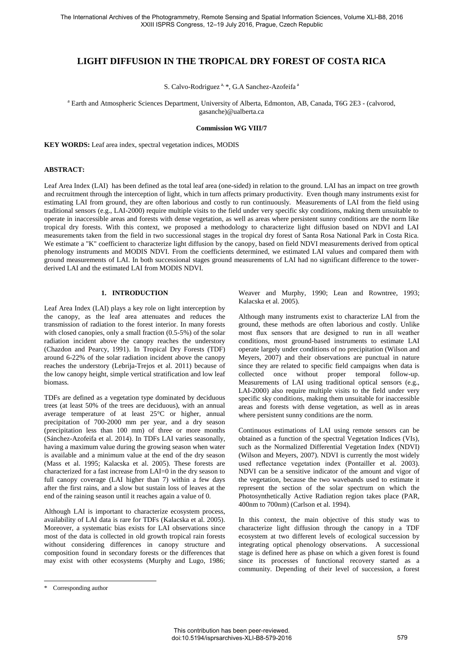# **LIGHT DIFFUSION IN THE TROPICAL DRY FOREST OF COSTA RICA**

S. Calvo-Rodriguez<sup>a, \*</sup>, G.A Sanchez-Azofeifa<sup>a</sup>

<sup>a</sup> Earth and Atmospheric Sciences Department, University of Alberta, Edmonton, AB, Canada, T6G 2E3 - (calvorod, gasanche)@ualberta.ca

#### **Commission WG VIII/7**

**KEY WORDS:** Leaf area index, spectral vegetation indices, MODIS

### **ABSTRACT:**

Leaf Area Index (LAI) has been defined as the total leaf area (one-sided) in relation to the ground. LAI has an impact on tree growth and recruitment through the interception of light, which in turn affects primary productivity. Even though many instruments exist for estimating LAI from ground, they are often laborious and costly to run continuously. Measurements of LAI from the field using traditional sensors (e.g., LAI-2000) require multiple visits to the field under very specific sky conditions, making them unsuitable to operate in inaccessible areas and forests with dense vegetation, as well as areas where persistent sunny conditions are the norm like tropical dry forests. With this context, we proposed a methodology to characterize light diffusion based on NDVI and LAI measurements taken from the field in two successional stages in the tropical dry forest of Santa Rosa National Park in Costa Rica. We estimate a "K" coefficient to characterize light diffusion by the canopy, based on field NDVI measurements derived from optical phenology instruments and MODIS NDVI. From the coefficients determined, we estimated LAI values and compared them with ground measurements of LAI. In both successional stages ground measurements of LAI had no significant difference to the towerderived LAI and the estimated LAI from MODIS NDVI.

#### **1. INTRODUCTION**

Leaf Area Index (LAI) plays a key role on light interception by the canopy, as the leaf area attenuates and reduces the transmission of radiation to the forest interior. In many forests with closed canopies, only a small fraction (0.5-5%) of the solar radiation incident above the canopy reaches the understory (Chazdon and Pearcy, 1991). In Tropical Dry Forests (TDF) around 6-22% of the solar radiation incident above the canopy reaches the understory (Lebrija-Trejos et al. 2011) because of the low canopy height, simple vertical stratification and low leaf biomass.

TDFs are defined as a vegetation type dominated by deciduous trees (at least 50% of the trees are deciduous), with an annual average temperature of at least 25°C or higher, annual precipitation of 700-2000 mm per year, and a dry season (precipitation less than 100 mm) of three or more months (Sánchez-Azofeifa et al. 2014). In TDFs LAI varies seasonally, having a maximum value during the growing season when water is available and a minimum value at the end of the dry season (Mass et al. 1995; Kalacska et al. 2005). These forests are characterized for a fast increase from LAI=0 in the dry season to full canopy coverage (LAI higher than 7) within a few days after the first rains, and a slow but sustain loss of leaves at the end of the raining season until it reaches again a value of 0.

Although LAI is important to characterize ecosystem process, availability of LAI data is rare for TDFs (Kalacska et al. 2005). Moreover, a systematic bias exists for LAI observations since most of the data is collected in old growth tropical rain forests without considering differences in canopy structure and composition found in secondary forests or the differences that may exist with other ecosystems (Murphy and Lugo, 1986; Weaver and Murphy, 1990; Lean and Rowntree, 1993; Kalacska et al. 2005).

Although many instruments exist to characterize LAI from the ground, these methods are often laborious and costly. Unlike most flux sensors that are designed to run in all weather conditions, most ground-based instruments to estimate LAI operate largely under conditions of no precipitation (Wilson and Meyers, 2007) and their observations are punctual in nature since they are related to specific field campaigns when data is collected once without proper temporal follow-up. Measurements of LAI using traditional optical sensors (e.g., LAI-2000) also require multiple visits to the field under very specific sky conditions, making them unsuitable for inaccessible areas and forests with dense vegetation, as well as in areas where persistent sunny conditions are the norm.

Continuous estimations of LAI using remote sensors can be obtained as a function of the spectral Vegetation Indices (VIs), such as the Normalized Differential Vegetation Index (NDVI) (Wilson and Meyers, 2007). NDVI is currently the most widely used reflectance vegetation index (Pontailler et al. 2003). NDVI can be a sensitive indicator of the amount and vigor of the vegetation, because the two wavebands used to estimate it represent the section of the solar spectrum on which the Photosynthetically Active Radiation region takes place (PAR, 400nm to 700nm) (Carlson et al. 1994).

In this context, the main objective of this study was to characterize light diffusion through the canopy in a TDF ecosystem at two different levels of ecological succession by integrating optical phenology observations. A successional stage is defined here as phase on which a given forest is found since its processes of functional recovery started as a community. Depending of their level of succession, a forest

 $\overline{a}$ 

<sup>\*</sup> Corresponding author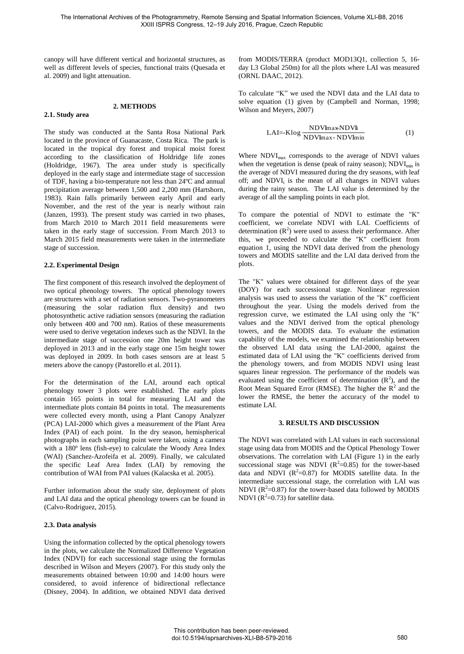canopy will have different vertical and horizontal structures, as well as different levels of species, functional traits (Quesada et al. 2009) and light attenuation.

#### **2. METHODS**

# **2.1. Study area**

The study was conducted at the Santa Rosa National Park located in the province of Guanacaste, Costa Rica. The park is located in the tropical dry forest and tropical moist forest according to the classification of Holdridge life zones (Holdridge, 1967). The area under study is specifically deployed in the early stage and intermediate stage of succession of TDF, having a bio-temperature not less than 24ºC and annual precipitation average between 1,500 and 2,200 mm (Hartshorn, 1983). Rain falls primarily between early April and early November, and the rest of the year is nearly without rain (Janzen, 1993). The present study was carried in two phases, from March 2010 to March 2011 field measurements were taken in the early stage of succession. From March 2013 to March 2015 field measurements were taken in the intermediate stage of succession.

#### **2.2. Experimental Design**

The first component of this research involved the deployment of two optical phenology towers. The optical phenology towers are structures with a set of radiation sensors. Two-pyranometers (measuring the solar radiation flux density) and two photosynthetic active radiation sensors (measuring the radiation only between 400 and 700 nm). Ratios of these measurements were used to derive vegetation indexes such as the NDVI. In the intermediate stage of succession one 20m height tower was deployed in 2013 and in the early stage one 15m height tower was deployed in 2009. In both cases sensors are at least 5 meters above the canopy (Pastorello et al. 2011).

For the determination of the LAI, around each optical phenology tower 3 plots were established. The early plots contain 165 points in total for measuring LAI and the intermediate plots contain 84 points in total. The measurements were collected every month, using a Plant Canopy Analyzer (PCA) LAI-2000 which gives a measurement of the Plant Area Index (PAI) of each point. In the dry season, hemispherical photographs in each sampling point were taken, using a camera with a 180º lens (fish-eye) to calculate the Woody Area Index (WAI) (Sanchez-Azofeifa et al. 2009). Finally, we calculated the specific Leaf Area Index (LAI) by removing the contribution of WAI from PAI values (Kalacska et al. 2005).

Further information about the study site, deployment of plots and LAI data and the optical phenology towers can be found in (Calvo-Rodriguez, 2015).

# **2.3. Data analysis**

Using the information collected by the optical phenology towers in the plots, we calculate the Normalized Difference Vegetation Index (NDVI) for each successional stage using the formulas described in Wilson and Meyers (2007). For this study only the measurements obtained between 10:00 and 14:00 hours were considered, to avoid inference of bidirectional reflectance (Disney, 2004). In addition, we obtained NDVI data derived from MODIS/TERRA (product MOD13Q1, collection 5, 16 day L3 Global 250m) for all the plots where LAI was measured (ORNL DAAC, 2012).

To calculate "K" we used the NDVI data and the LAI data to solve equation (1) given by (Campbell and Norman, 1998; Wilson and Meyers, 2007)

$$
LAI = -Klog \frac{NDVImaxNDVI}{NDVImax-NDVlmin}
$$
 (1)

Where NDVI<sub>max</sub> corresponds to the average of NDVI values when the vegetation is dense (peak of rainy season);  $NDVI_{min}$  is the average of NDVI measured during the dry seasons, with leaf off; and  $NDVI_i$  is the mean of all changes in NDVI values during the rainy season. The LAI value is determined by the average of all the sampling points in each plot.

To compare the potential of NDVI to estimate the "K" coefficient, we correlate NDVI with LAI. Coefficients of determination  $(R^2)$  were used to assess their performance. After this, we proceeded to calculate the "K" coefficient from equation 1, using the NDVI data derived from the phenology towers and MODIS satellite and the LAI data derived from the plots.

The "K" values were obtained for different days of the year (DOY) for each successional stage. Nonlinear regression analysis was used to assess the variation of the "K" coefficient throughout the year. Using the models derived from the regression curve, we estimated the LAI using only the "K" values and the NDVI derived from the optical phenology towers, and the MODIS data. To evaluate the estimation capability of the models, we examined the relationship between the observed LAI data using the LAI-2000, against the estimated data of LAI using the "K" coefficients derived from the phenology towers, and from MODIS NDVI using least squares linear regression. The performance of the models was evaluated using the coefficient of determination  $(R^2)$ , and the Root Mean Squared Error (RMSE). The higher the  $R^2$  and the lower the RMSE, the better the accuracy of the model to estimate LAI.

# **3. RESULTS AND DISCUSSION**

The NDVI was correlated with LAI values in each successional stage using data from MODIS and the Optical Phenology Tower observations. The correlation with LAI (Figure 1) in the early successional stage was NDVI ( $R^2$ =0.85) for the tower-based data and NDVI  $(R^2=0.87)$  for MODIS satellite data. In the intermediate successional stage, the correlation with LAI was NDVI ( $R^2$ =0.87) for the tower-based data followed by MODIS NDVI ( $R^2$ =0.73) for satellite data.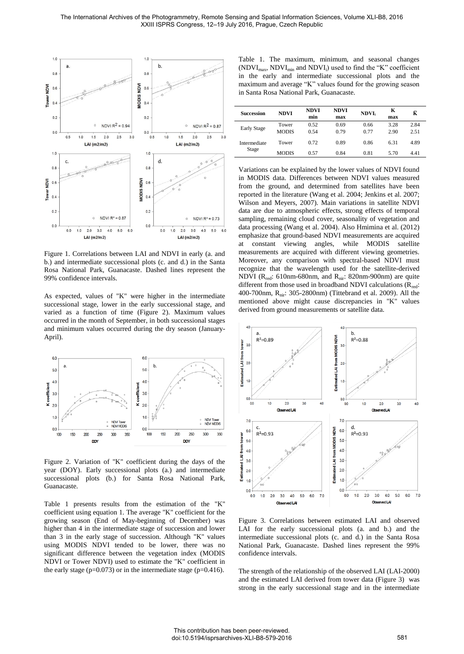

Figure 1. Correlations between LAI and NDVI in early (a. and b.) and intermediate successional plots (c. and d.) in the Santa Rosa National Park, Guanacaste. Dashed lines represent the 99% confidence intervals.

As expected, values of "K" were higher in the intermediate successional stage, lower in the early successional stage, and varied as a function of time (Figure 2). Maximum values occurred in the month of September, in both successional stages and minimum values occurred during the dry season (January-April).



Figure 2. Variation of "K" coefficient during the days of the year (DOY). Early successional plots (a.) and intermediate successional plots (b.) for Santa Rosa National Park, Guanacaste.

Table 1 presents results from the estimation of the "K" coefficient using equation 1. The average "K" coefficient for the growing season (End of May-beginning of December) was higher than 4 in the intermediate stage of succession and lower than 3 in the early stage of succession. Although "K" values using MODIS NDVI tended to be lower, there was no significant difference between the vegetation index (MODIS NDVI or Tower NDVI) used to estimate the "K" coefficient in the early stage ( $p=0.073$ ) or in the intermediate stage ( $p=0.416$ ).

Table 1. The maximum, minimum, and seasonal changes  $(NDVI<sub>max</sub>, NDVI<sub>min</sub>$  and  $NDVI<sub>i</sub>)$  used to find the "K" coefficient in the early and intermediate successional plots and the maximum and average "K" values found for the growing season in Santa Rosa National Park, Guanacaste.

| <b>Succession</b>     | <b>NDVI</b>           | <b>NDVI</b><br>min | <b>NDVI</b><br>max | <b>NDVI</b>  | K<br>max     | ĸ            |
|-----------------------|-----------------------|--------------------|--------------------|--------------|--------------|--------------|
| <b>Early Stage</b>    | Tower<br><b>MODIS</b> | 0.52<br>0.54       | 0.69<br>0.79       | 0.66<br>0.77 | 3.28<br>2.90 | 2.84<br>2.51 |
| Intermediate<br>Stage | Tower                 | 0.72               | 0.89               | 0.86         | 6.31         | 4.89         |
|                       | <b>MODIS</b>          | 0.57               | 0.84               | 0.81         | 5.70         | 4.41         |

Variations can be explained by the lower values of NDVI found in MODIS data. Differences between NDVI values measured from the ground, and determined from satellites have been reported in the literature (Wang et al. 2004; Jenkins et al. 2007; Wilson and Meyers, 2007). Main variations in satellite NDVI data are due to atmospheric effects, strong effects of temporal sampling, remaining cloud cover, seasonality of vegetation and data processing (Wang et al. 2004). Also Hmimina et al. (2012) emphasize that ground-based NDVI measurements are acquired constant viewing angles, while MODIS satellite measurements are acquired with different viewing geometries. Moreover, any comparison with spectral-based NDVI must recognize that the wavelength used for the satellite-derived NDVI ( $R_{\text{red}}$ : 610nm-680nm, and  $R_{\text{nir}}$ : 820nm-900nm) are quite different from those used in broadband NDVI calculations  $(R_{red}:$ 400-700nm, R<sub>nir</sub>: 305-2800nm) (Tittebrand et al. 2009). All the mentioned above might cause discrepancies in "K" values derived from ground measurements or satellite data.



Figure 3. Correlations between estimated LAI and observed LAI for the early successional plots (a. and b.) and the intermediate successional plots (c. and d.) in the Santa Rosa National Park, Guanacaste. Dashed lines represent the 99% confidence intervals.

The strength of the relationship of the observed LAI (LAI-2000) and the estimated LAI derived from tower data (Figure 3) was strong in the early successional stage and in the intermediate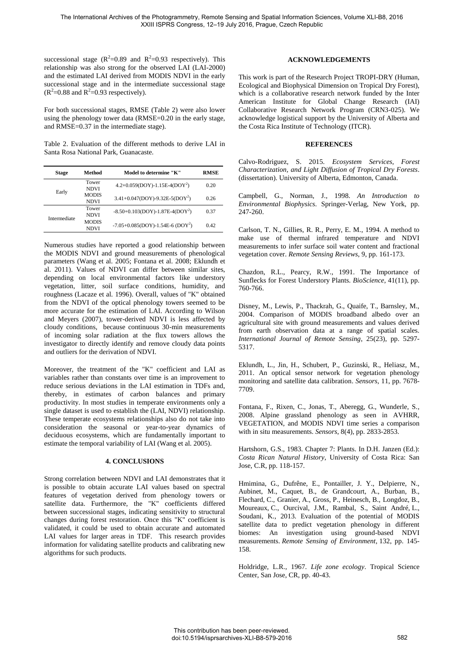successional stage ( $R^2$ =0.89 and  $R^2$ =0.93 respectively). This relationship was also strong for the observed LAI (LAI-2000) and the estimated LAI derived from MODIS NDVI in the early successional stage and in the intermediate successional stage  $(R^2=0.88$  and  $R^2=0.93$  respectively).

For both successional stages, RMSE (Table 2) were also lower using the phenology tower data (RMSE=0.20 in the early stage, and RMSE=0.37 in the intermediate stage).

Table 2. Evaluation of the different methods to derive LAI in Santa Rosa National Park, Guanacaste.

| <b>Stage</b> | Method                      | Model to determine "K"                  | <b>RMSE</b> |
|--------------|-----------------------------|-----------------------------------------|-------------|
| Early        | Tower<br><b>NDVI</b>        | $4.2+0.059(DOY)-1.15E-4(DOY^2)$         | 0.20        |
|              | <b>MODIS</b><br><b>NDVI</b> | $3.41+0.047(DOY)-9.32E-5(DOY^2)$        | 0.26        |
| Intermediate | Tower<br><b>NDVI</b>        | $-8.50+0.103(DOY)-1.87E-4(DOY2)$        | 0.37        |
|              | <b>MODIS</b><br>NDVI        | $-7.05 + 0.085(DOY) - 1.54E - 6 (DOY2)$ | 0.42        |

Numerous studies have reported a good relationship between the MODIS NDVI and ground measurements of phenological parameters (Wang et al. 2005; Fontana et al. 2008; Eklundh et al. 2011). Values of NDVI can differ between similar sites, depending on local environmental factors like understory vegetation, litter, soil surface conditions, humidity, and roughness (Lacaze et al. 1996). Overall, values of "K" obtained from the NDVI of the optical phenology towers seemed to be more accurate for the estimation of LAI. According to Wilson and Meyers (2007), tower-derived NDVI is less affected by cloudy conditions, because continuous 30-min measurements of incoming solar radiation at the flux towers allows the investigator to directly identify and remove cloudy data points and outliers for the derivation of NDVI.

Moreover, the treatment of the "K" coefficient and LAI as variables rather than constants over time is an improvement to reduce serious deviations in the LAI estimation in TDFs and, thereby, in estimates of carbon balances and primary productivity. In most studies in temperate environments only a single dataset is used to establish the (LAI, NDVI) relationship. These temperate ecosystems relationships also do not take into consideration the seasonal or year-to-year dynamics of deciduous ecosystems, which are fundamentally important to estimate the temporal variability of LAI (Wang et al. 2005).

# **4. CONCLUSIONS**

Strong correlation between NDVI and LAI demonstrates that it is possible to obtain accurate LAI values based on spectral features of vegetation derived from phenology towers or satellite data. Furthermore, the "K" coefficients differed between successional stages, indicating sensitivity to structural changes during forest restoration. Once this "K" coefficient is validated, it could be used to obtain accurate and automated LAI values for larger areas in TDF. This research provides information for validating satellite products and calibrating new algorithms for such products.

# **ACKNOWLEDGEMENTS**

This work is part of the Research Project TROPI-DRY (Human, Ecological and Biophysical Dimension on Tropical Dry Forest), which is a collaborative research network funded by the Inter American Institute for Global Change Research (IAI) Collaborative Research Network Program (CRN3-025). We acknowledge logistical support by the University of Alberta and the Costa Rica Institute of Technology (ITCR).

# **REFERENCES**

Calvo-Rodriguez, S. 2015. *Ecosystem Services, Forest Characterization, and Light Diffusion of Tropical Dry Forests*. (dissertation). University of Alberta, Edmonton, Canada.

Campbell, G., Norman, J., 1998. *An Introduction to Environmental Biophysics*. Springer-Verlag, New York, pp. 247-260.

Carlson, T. N., Gillies, R. R., Perry, E. M., 1994. A method to make use of thermal infrared temperature and NDVI measurements to infer surface soil water content and fractional vegetation cover. *Remote Sensing Reviews*, 9, pp. 161-173.

Chazdon, R.L., Pearcy, R.W., 1991. The Importance of Sunflecks for Forest Understory Plants*. BioScience*, 41(11), pp. 760-766.

Disney, M., Lewis, P., Thackrah, G., Quaife, T., Barnsley, M., 2004. Comparison of MODIS broadband albedo over an agricultural site with ground measurements and values derived from earth observation data at a range of spatial scales. *International Journal of Remote Sensing*, 25(23), pp. 5297- 5317.

Eklundh, L., Jin, H., Schubert, P., Guzinski, R., Heliasz, M., 2011. An optical sensor network for vegetation phenology monitoring and satellite data calibration. *Sensors,* 11, pp. 7678- 7709.

Fontana, F., Rixen, C., Jonas, T., Aberegg, G., Wunderle, S., 2008. Alpine grassland phenology as seen in AVHRR, VEGETATION, and MODIS NDVI time series a comparison with in situ measurements. *Sensors*, 8(4), pp. 2833-2853.

Hartshorn, G.S., 1983. Chapter 7: Plants. In D.H. Janzen (Ed.): *Costa Rican Natural History*, University of Costa Rica: San Jose, C.R, pp. 118-157.

Hmimina, G., Dufrêne, E., Pontailler, J. Y., Delpierre, N., Aubinet, M., Caquet, B., de Grandcourt, A., Burban, B., Flechard, C., Granier, A., Gross, P., Heinesch, B., Longdoz, B., Moureaux, C., Ourcival, J.M., Rambal, S., Saint André, L., Soudani, K., 2013. Evaluation of the potential of MODIS satellite data to predict vegetation phenology in different biomes: An investigation using ground-based NDVI measurements. *Remote Sensing of Environment*, 132, pp. 145- 158.

Holdridge, L.R., 1967. *Life zone ecology*. Tropical Science Center, San Jose, CR, pp. 40-43.